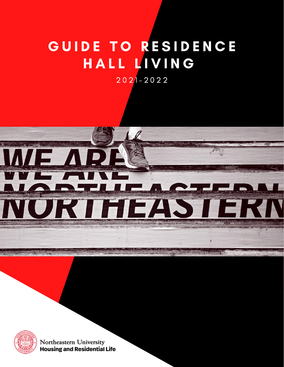# G U I D E TO RESIDENCE HALL LIVING

2 0 2 1 - 2 0 2 2



Photo by Matthew Mod



Northeastern University **Housing and Residential Life**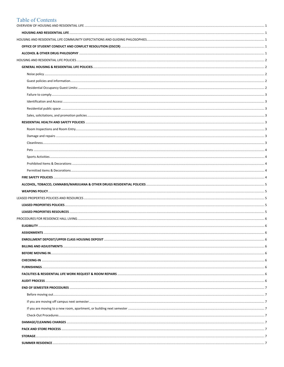# **Table of Contents**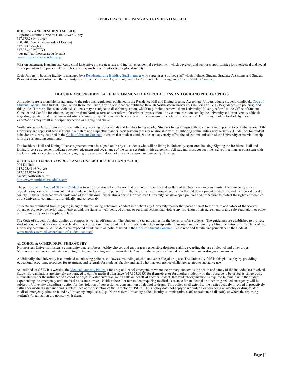# <span id="page-3-0"></span>**OVERVIEW OF HOUSING AND RESIDENTIAL LIFE**

<span id="page-3-1"></span>**HOUSING AND RESIDENTIAL LIFE**  4 Speare Commons, Speare Hall, Lower Lobby 617.373.2814 (voice) 800.240.7666 (voice/outside of Boston)

617.373.8794(fax) 617.373.4019(TTY) housing@northeastern.edu (email) [www.northeastern.edu/housing](http://www.northeastern.edu/housing)

Mission statement: Housing and Residential Life strives to create a safe and inclusive residential environment which develops and supports opportunities for intellectual and social development and prepares students to become purposeful contributors to our global society.

Each University housing facility is managed by [a Residential Life Building Staff member](https://www.northeastern.edu/housing/building-staff/) who supervises a trained staff which includes Student Graduate Assistants and Student Resident Assistants who have the authority to enforce the License Agreement, Guide to Residence Hall Living, an[d Code of Student Conduct.](http://www.northeastern.edu/osccr/code-of-student-conduct)

# **HOUSING AND RESIDENTIAL LIFE COMMUNITY EXPECTATIONS AND GUIDING PHILOSOPHIES**

<span id="page-3-2"></span>All students are responsible for adhering to the rules and regulations published in the Residence Hall and Dining License Agreement, Undergraduate Student Handbook, Code of [Student Conduct,](http://www.northeastern.edu/osccr/code-of-student-conduct) the Student Organization Resource Guide, any policies that are published through Northeastern University (including COVID-19 guidance and policies), and this guide. If these policies are violated, students may be subject to disciplinary action, which may include removal from University Housing, referral to the Office of Student Conduct and Conflict Resolution, separation from Northeastern, and/or referral for criminal prosecution. Any communication sent by the university and/or university officials regarding updated student and/or residential community expectations may be considered an addendum to the Guide to Residence Hall Living. Failure to abide by these expectations may result in disciplinary action as highlighted above.

Northeastern is a large urban institution with many working professionals and families living nearby. Students living alongside these citizens are expected to be ambassadors of the University and represent Northeastern in a mature and respectful manner. Northeastern takes its relationship with neighboring communities very seriously. Guidelines for student behavior are clearly outlined in th[e Code of Student Conduct](http://www.northeastern.edu/osccr/code-of-student-conduct) to ensure that student conduct does not adversely affect the educational mission of the University or its relationships with the surrounding community.

The Residence Hall and Dining License agreement must be signed online by all students who will be living in University-sponsored housing. Signing the Residence Hall and Dining License agreement indicates acknowledgement and acceptance of the terms set forth in this agreement. All students must conduct themselves in a manner consistent with the University's expectations. However, signing the agreement does not guarantee a space in University Housing.

<span id="page-3-3"></span>**OFFICE OF STUDENT CONDUCT AND CONFLICT RESOLUTION (OSCCR)** 204 Ell Hall 617.373.4390 (voice) 617.373.8776 (fax) [osccr@northeastern.edu](mailto:osccr@northeastern.edu) [http://www.northeastern.edu/osccr//](http://www.northeastern.edu/osccr/) 

The purpose of the [Code of Student Conduct](http://www.northeastern.edu/osccr/code-of-student-conduct) is to set expectations for behavior that promotes the safety and welfare of the Northeastern community. The University seeks to provide a supportive environment that is conducive to learning, the pursuit of truth, the exchange of knowledge, the intellectual development of students, and the general good of society. In those instances where violations of the behavioral expectations occur, Northeastern University has developed policies and procedures to protect the rights of members of the University community, individually and collectively.

Students are prohibited from engaging in any of the following behaviors: conduct in/or about any University facility that poses a threat to the health and safety of themselves, others, or property; behavior that interferes with the rights or well-being of others; or personal actions that violate any provision of this agreement, or any rule, regulation, or policy of the University, or any applicable law.

The Code of Student Conduct applies on campus as well as off campus. The University sets guidelines for the behavior of its students. The guidelines are established to promote student conduct that does not adversely affect the educational mission of the University or its relationship with the surrounding community, sibling institutions, or members of the University community. All students are expected to adhere to all policies listed in th[e Code of Student Conduct.](http://www.northeastern.edu/osccr/code-of-student-conduct) Please read and familiarize yourself with the Code at [www.northeastern.edu/osccr/code-of-student-conduct/.](http://www.northeastern.edu/osccr/code-of-student-conduct/)

#### <span id="page-3-4"></span>**ALCOHOL & OTHER DRUG PHILOSOPHY**

Northeastern University fosters a community that reinforces healthy choices and encourages responsible decision-making regarding the use of alcohol and other drugs. Northeastern strives to maintain a working, living and learning environment that is free from the negative effects that alcohol and other drug use can create.

Additionally, the University is committed to enforcing policies and laws surrounding alcohol and other illegal drug use. The University fulfills this philosophy by providing educational programs, resources for treatment, and referrals for students, faculty and staff who may experience challenges related to substance use.

As outlined on OSCCR's website, th[e Medical Amnesty Policy i](http://www.northeastern.edu/osccr/medical-amnesty/)s for drug or alcohol emergencies where the primary concern is the health and safety of the individual(s) involved. Students/organizations are strongly encouraged to call for medical assistance (617.373.3333) for themselves or for another student who they observe to be or feel is dangerously intoxicated/under the influence of alcohol or drugs. If a student/organization calls on behalf of another student, that student/organization is required to remain with the student experiencing the emergency until medical assistance arrives. Neither the caller nor student requiring medical assistance for an alcohol or other drug-related emergency will be subject to University disciplinary action for the violation of possession or consumption of alcohol or drugs. This policy shall extend to the parties actively involved in proactively calling for medical assistance and is determined at the discretion of the Director of OSCCR. This policy does not apply to individuals experiencing an alcohol or drug-related medical emergency who are found by University employees (e.g., Northeastern University police, faculty, administrative staff, or residence hall staff), or where the reporting student(s)/organization did not stay with them.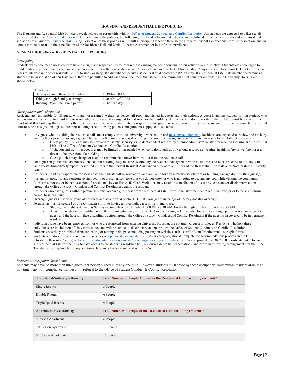#### **HOUSING AND RESIDENTIAL LIFE POLICIES**

<span id="page-4-0"></span>The Housing and Residential Life Policies were developed in partnership with th[e Office of Student Conduct and Conflict Resolution.](http://www.northeastern.edu/osccr/) All students are expected to adhere to all policies listed in the [Code of Student Conduct.](http://www.northeastern.edu/osccr/code-of-student-conduct/) In addition to the policies, the following items and behavior listed below are prohibited in the residence halls and are considered violations of a Guide to Residence Hall Living. Violation of these policies will result in disciplinary action through the Office of Student Conduct and Conflict Resolution, and, in some cases, may result in the cancellation of the Residence Hall and Dining License Agreement or loss of guest privileges.

#### <span id="page-4-1"></span>**GENERAL HOUSING & RESIDENTIAL LIFE POLICIES**

<span id="page-4-2"></span>*Noise policy*

Students who encounter a noise concern have the right and responsibility to inform those causing the noise concern if their activities are disruptive. Students are encouraged to build relationships with their neighbors and address concerns with them as they arise. Courtesy hours are in effect 24 hours a day, 7 days a week. Noise must be kept to levels that will not interfere with other residents' ability to study or sleep. If a disturbance persists, students should contact the RA on duty. If a Residential Life Staff member determines a student to be in violation of courtesy hours, they are permitted to address and/or document that student. The minimum quiet hours for all buildings in University Housing are shown below.

#### *Quiet hours:*

| Sunday evening through Thursday: | 10 PM-8:30AM      |
|----------------------------------|-------------------|
| Friday through Sunday morning:   | $1:00$ AM-8:30 AM |
| Reading Days/Final-exam period:  | 24 hours a day    |
|                                  |                   |

#### <span id="page-4-3"></span>*Guest policies and information*

Residents are responsible for all guests who are not assigned to their residence hall room and signed-in guests and their actions. A guest is anyone, student or non-student, who accompanies a resident into a building or room who is not currently assigned to that room or that building. All guests who do not reside in the building must be signed in by the resident of that building that is hosting them. A host is a residential student who is responsible for guests who are present in the host's assigned bedspace and/or the residential student who has signed in a guest into their building. The following policies and guidelines apply to all students:

- Any guest who is visiting the residence halls must comply with the university's vaccination and [masking requirements.](https://news.northeastern.edu/coronavirus/reopening/campus-policy/) Residents are expected to review and abide by guest policies prior to hosting a guest. The guest policy may be updated or changed at any time through university communications for the following reasons:
	- Guest policy privileges may be revoked for safety, security, or student conduct reasons by a senior administrative staff member of Housing and Residential Life or The Office of Student Conduct and Conflict Resolution.
		- o Visitation and sign-in procedures may be limited or suspended when conditions such as power outages, severe weather, health, safety or welfare poses a threat to the operation of a building.
		- Guest policies may change or adapt to accommodate move-in/move-out from the residence halls.
- For signed-in guests who are not residents of that building, they must be escorted by the resident that signed them in at all times and hosts are expected to stay with their guests. Immediately report unescorted visitors to the Student Resident Assistant on duty or to a member of the Residential Life staff or to Northeastern University Police.
- Residents (host) are responsible for seeing that their guests follow regulations and are liable for any infractions/violations or building damage done by their guest(s).
- It is against policy to ask someone to sign you in or to sign in someone that you do not know or who is not going to accompany you while visiting the community.

• Guests may not use or be in possession of a resident's key or Husky ID Card. Violations may result in cancellation of guest privileges and/or disciplinary action through the Office of Student Conduct and Conflict Resolution against the resident.

- Residents who have guests without picture IDs must obtain a guest pass from a Residential Life Professional staff member at least 24 hours prior to the visit, during normal business hours.
- Overnight guests must be 16 years old or older and have a valid photo ID. Guests younger than the age of 16 may not stay overnight.
	- Permission must be secured of all roommate(s) prior to having an overnight guest in the living space.
		- o Staying overnight is defined as Sunday evening through Thursday 10:00 PM 8:30 AM, Friday through Sunday 1:00 AM 8:30 AM.
		- o A guest may stay in the building up to three consecutive nights in a week. Anyone staying in University Housing for a longer period is not considered a guest, and the host will face disciplinary action through the Office of Student Conduct and Conflict Resolution if the guest is discovered to be in permanent residence.
- Individuals who have been removed from or who are restricted from entering University Housing, are not granted guest privileges. Residents who host these individuals are in violation of University policy and will be subject to disciplinary action through the Office of Student Conduct and Conflict Resolution.
- Students are strictly prohibited from subleasing or renting their space, including posting on websites such as AirBnB and/or other rental sites/platforms.
- Students with disabilities who require the services of [a personal care assistants](https://drc.sites.northeastern.edu/personal-care-assistants-2/) (PCA) or caregiver, should complete the accommodations process on the DRC (Disability Resource Center[\) website:](https://drc.sites.northeastern.edu/incoming-and-unregistered-students/) [https://drc.sites.northeastern.edu/incoming-and-unregistered-students/.](https://drc.sites.northeastern.edu/incoming-and-unregistered-students/) Once approved, the DRC will coordinate with Housing and Residential Life for the PCA to have access to the student's residence hall, review residence hall expectations, and coordinate housing arrangements for the PCA. The student is responsible for any additional fees and charges associated with a PCA.

#### <span id="page-4-4"></span>*Residential Occupancy Guest Limits:*

Students may have no more than three guests per person signed in at any one time. However, students must abide by these occupancy limits within residential units at any time. Any non-compliance will result in referral to the Office of Student Conduct & Conflict Resolution.

| <b>Traditional/Suite Style Housing</b> | Total Number of People Allowed in the Residential Unit, including residents* |
|----------------------------------------|------------------------------------------------------------------------------|
| Single Rooms                           | 3 People                                                                     |
| Double Rooms                           | 6 People                                                                     |
| Triple/Quad Rooms                      | 9 People                                                                     |
|                                        |                                                                              |
| <b>Apartment Style Housing</b>         | Total Number of People in the Residential Unit, including residents*         |
| 2 Person Apartment                     | 6 People                                                                     |
| 3/4 Person Apartment                   | 12 People                                                                    |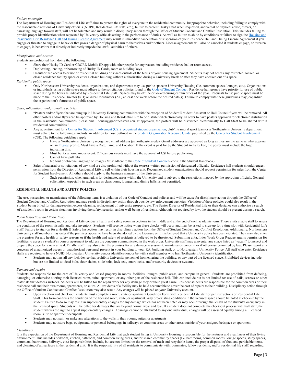#### <span id="page-5-0"></span>*Failure to comply*

The Department of Housing and Residential Life staff aims to protect the rights of everyone in the residential community. Inappropriate behavior, including failing to comply with the reasonable directions of University officials (NUPD, Residential Life staff, etc.), failure to present Husky Card when requested, and verbal or physical abuse, threats, or harassing language toward staff, will not be tolerated and may result in disciplinary action through the Office of Student Conduct and Conflict Resolution. This includes failing to provide proper identification when requested by University officials acting in the performance of duties. As well as failure to abide by conditions or failure to sign the Housing and [Residential Life Residence Hall and Dining License Agreement](https://www.northeastern.edu/housing/license-agreement/) may result in immediate cancellation or suspension of your Residence Hall and Dining License Agreement if you engage or threaten to engage in behavior that poses a danger of physical harm to themselves and/or others. License agreements will also be canceled if students engage, or threaten to engage, in behaviors that directly or indirectly impede the lawful activities of others.

#### <span id="page-5-1"></span>*Identification and Access:*

Students are prohibited from doing the following:

- Share their Husky ID Card or CBORD Mobile ID app with other people for any reason, including residence hall or room access.
- Duplicating, lending, or borrowing of Husky ID Cards, room or building keys.<br>• Inauthorized access to or use of residential buildings or spaces outside of the t
- Unauthorized access to or use of residential buildings or spaces outside of the terms of your housing agreement. Students may not access any restricted, locked, or
- closed residence facility space or enter a closed building without authorization during a University break or after they have checked out of a space.

#### <span id="page-5-2"></span>*Residential public space*

• Only Northeastern University residents, organizations, and departments may use public space in University Housing (I.e. common spaces, lounges, etc.). Organizations or individuals using public space must adhere to the solicitation policies found in th[e Code of Student Conduct.](http://www.northeastern.edu/osccr/code-of-student-conduct) Residence hall groups have priority for use of public space during the hours as indicated by Residential Life Staff. Spaces may be offline or locked during certain times of the year. Requests to use public space must be<br>made to the Residence Director (RD) or Area Coordinator the organization's future use of public space.

<span id="page-5-3"></span>*Sales, solicitations, and promotion policies*

- "Posters and/or flyers that are hung up in University Housing communities with the exception of Student Resident Assistant or Hall Council flyers will be removed. All other posters and/or flyers can be approved by Housing and Residential Life to be distributed electronically. In order to have posters approved for electronic distribution in the residential communities, please email housing@northeastern.edu. If approved, the posters will be distributed electronically to Hall Staff to be shared within residential communities."
- Any advertisement for a [Center for Student Involvement \(CSI\) recognized student organization,](https://nam12.safelinks.protection.outlook.com/?url=https%3A%2F%2Fneu.campuslabs.com%2Fengage%2F&data=04%7C01%7Cr.pozerski%40northeastern.edu%7C9379a7892e3c4ed5f1f308d93cba6e85%7Ca8eec281aaa34daeac9b9a398b9215e7%7C0%7C0%7C637607593672548942%7CUnknown%7CTWFpbGZsb3d8eyJWIjoiMC4wLjAwMDAiLCJQIjoiV2luMzIiLCJBTiI6Ik1haWwiLCJXVCI6Mn0%3D%7C1000&sdata=AtR291rH4BkuTpUcJsA2ysvvfEKzmxiSv1q748GoFgw%3D&reserved=0) club/intramural sport team or a Northeastern University department must adhere to the following standards, in addition to those outlined in th[e Student Organization Resource Guide,](https://studentlife.northeastern.edu/csi/marketing/) published by th[e Center for Student Involvement](https://studentlife.northeastern.edu/csi/) (CSI). The following guidelines apply:
	- Have a Northeastern University recognized email address (@northeastern.edu). Gmail addresses are approved as long as they are the same as what appears on a[n Engage](https://neu.campuslabs.com/engage/) profile. Must have a Date, Time, and Location. If the event is paid for by the Student Activity Fee, the poster must include the logo indicating this.
	- o Must be for an on-campus event. Off-campus events must have the approval of CSI before publicizing.
	- $\circ$  Cannot have pull tabs
	- No foul or obscene language or images (Must adhere to the [Code of Student Conduct–](http://www.northeastern.edu/osccr/code-of-student-conduct) consult the Student Handbook)

• Sales of material or solicitations of any kind are also prohibited without the express written permission of designated officials. Residence hall students should request permission from the Director of Residential Life to sell within their housing unit. Recognized student organizations should request permission for sales from the Center for Student Involvement. All others should apply to the business manager of the University.

o Such permission, when granted, is for designated areas within the University and is subject to the restrictions imposed by the approving officials. General solicitation, especially in such areas as classrooms, lounges, and dining halls, is not permitted.

#### <span id="page-5-4"></span>**RESIDENTIAL HEALTH AND SAFETY POLICIES**

The use, possession, or manufacture of the following items is a violation of our Code of Conduct and policies and will be cause for disciplinary action through the Office of Student Conduct and Conflict Resolution and may result in disciplinary action through outside law enforcement agencies. Violation of these policies could also result in the student being billed for damage/repairs, excess cleaning, replacement of university property, etc. The Senior Director of Residential Life or their designee can authorize a search of a student's room in certain situations involving the safety, security, and/or well-being of residents. Although not required by law, the student should be present during a search.

#### <span id="page-5-5"></span>*Room Inspections and Room Entry*

The Department of Housing and Residential Life conducts health and safety room inspections in the middle and at the end of each academic term. These visits enable staff to assess the condition of the room visually and take inventory. Students will receive notice when these checks will occur and may be asked to sign-up for a time slot with Residential Life Staff. Failure to sign-up for a Health & Safety Inspection may result in disciplinary action from the Office of Student Conduct and Conflict Resolution. Additionally, Northeastern University staff members may enter if the premises appear to have been abandoned by the Licensee or if it is believed that a University policy has been violated. They may also enter the premises for any health or safety reasons or if the health and safety of residents is believed to be threatened. Submitting a Facilities Work Order Request grants permission for facilities to access a student's room or apartment to address the concerns communicated in the work order. University staff may also enter any space listed as "vacant" to inspect and prepare the space for a new arrival. Finally, staff may also enter the premises for any damage assessment, maintenance concern, or if otherwise permitted by law. Please report any concerns of unauthorized access or unauthorized personnel present in your building to your RA, building staff, or to Northeastern University Police. All staff who enter Residence Halls are required to have a NUID, Northeastern University vendor identification, or be with a staff member who has Northeastern University identification.

• Students may not install any lock device that prohibits University personnel from entering the building, or any part of the licensed space. Prohibited devices include, but are not limited to: dead bolts, door chains, slide bolts, lock sets, smart locks, and/or security devices or systems.

#### <span id="page-5-6"></span>*Damage and repairs*

Students are responsible for the care of University and leased property in rooms, facilities, lounges, public areas, and campus in general. Students are prohibited from defacing, damaging, or otherwise altering their licensed room, suite, apartment, or any other part of the residence hall. This can include but is not limited to: use of nails, screws or other materials that defaces surfaces. Students will be billed for the repair work for any damage they or their guest cause. Resident students are responsible for the common areas of their residence hall and their own rooms, apartments, or suites. All residents of a facility may be held accountable to cover the cost of repairs to their building. Disciplinary action through the Office of Student Conduct and Conflict Resolution may also result. Any charges will be placed on your University account.

- Upon check-in and check-out, students must complete a room, suite or apartment Condition Form with Residential Life staff or per instructions of Residential Life Staff. This form confirms the condition of the licensed room, suite, or apartment. Any pre-existing conditions in the licensed space should be noted at check-in by the student. Failure to do so may result in supplementary charges for any damage which has not been noted or may occur through the length of the student's occupancy in the licensed space. Students will be billed for damages that are beyond normal wear and tear. If a student does not complete the check-out process with hall staff, the student waives the right to appeal supplementary charges. If damage cannot be attributed to any one individual, charges will be assessed equally among all licensed room, suite or apartment occupants.
- Students may not paint or make any alterations to the walls in their rooms, suites, or apartments.
- Students may not store bags, equipment, or personal belongings in hallways or common areas or other areas outside of your assigned bedspace or apartment.

#### <span id="page-5-7"></span>*Cleanliness*

It is the expectation of the Department of Housing and Residential Life that each student living in University Housing is responsible for the neatness and cleanliness of their living environment. This includes bedroom, kitchen, bathroom, and common living areas, and/or shared community spaces (I.e. bathrooms, common rooms, lounge spaces, study spaces, communal bathrooms, hallways, etc.) Responsibilities include, but are not limited to: the removal of trash and recyclable items, the proper disposal of food and perishable items, and cleaning of all surfaces in the residential unit. It is the responsibility of all residents to communicate with roommates, fellow residents, and/or residential life staff, regarding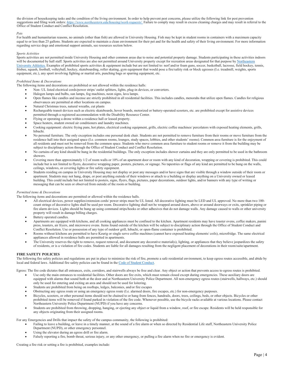the division of housekeeping tasks and the condition of the living environment. In order to help prevent pest concerns, please utilize the following link fo[r pest prevention](https://www.northeastern.edu/housing/work-requests/) [suggestions](https://www.northeastern.edu/housing/work-requests/) and filing work orders: [https://www.northeastern.edu/housing/work-requests/.](https://www.northeastern.edu/housing/work-requests/) Failure to comply may result in excess cleaning charges and may result in referral to the Office of Student Conduct and Conflict Resolution.

#### <span id="page-6-0"></span>*Pets*

For health and humanitarian reasons, no animals (other than fish) are allowed in University Housing. Fish may be kept in student rooms in containers with a maximum capacity equal to or less than 25 gallons. Students are expected to maintain a clean environment for their pet and for the health and safety of their living environment. For more information regarding service dogs and emotional support animals, see resources section below.

# <span id="page-6-1"></span>*Sports Activities*

Sports activities are not permitted inside University Housing and other common areas due to noise and potential property damage. Students participating in these activities indoors will be documented by hall staff. Sports activities are also not permitted around University property except for recreation areas designated for that purpose by Northeastern [University Athletics.](https://www.northeastern.edu/campusrec/general/facilities.html) Examples of prohibited sports activities & equipment include but are not limited to: nerf and/or foam guns, soccer, basketball, lacrosse, field hockey, tennis, frisbee, squash, football, volleyball, hockey, skateboarding, roller skating, gym equipment that would pose a fire/safety risk or block egresses (I.e. treadmill, weights, sports equipment, etc.), any sport involving fighting or martial arts, punching bags or sparring equipment, etc.

#### <span id="page-6-2"></span>*Prohibited Items & Decorations*

The following items and decorations are prohibited or not allowed within the residence halls:

- Non- UL listed electrical cords/power strips/ outlet splitters, lights, plug-in devices, or converters.
- Halogen lamps and bulbs, sun lamps, fog machines, neon signs, lava lamps.
- Open flames like candles and incense are strictly prohibited in all residential facilities. This includes candles, menorahs that utilize open flames. Candles for religious observances are permitted at other locations on campus.
- Natural Christmas trees, natural wreaths, cut plants
- Rechargeable transit devices such as electric skateboards, hover boards, motorized or battery-operated scooters, etc. are prohibited except for assistive devices permitted through a registered accommodation with the Disability Resource Center.
- Flying or operating a drone within a residence hall or leased property.
- Space heaters, student owned air conditioners and laundry machines.
- Cooking equipment: electric frying pans, hot plates, electrical cooking equipment, grills, electric coffee machines/ percolators with exposed heating elements, grills, hibachi.
- No personal furniture. The only exception includes one personal desk chair. Students are not permitted to remove furniture from their rooms or move furniture from the residence hall into their assigned space (I.e. common rooms, lounges, study spaces, lobbies, and other students' rooms). Common area furniture is for the enjoyment of all residents and must not be removed from the common space. Students who move common area furniture to student rooms or remove it from the building may be subject to disciplinary action through the Office of Student Conduct and Conflict Resolution.
- No curtains of any kind should be hung in the residential buildings. The only exception includes shower curtains and they are only permitted to be used in the bathroom showers.
- Covering more than approximately 1/2 of room walls or 10% of an apartment door or room with any kind of decoration, wrapping or covering is prohibited. This could include but is not limited to flyers, decorative wrapping paper, posters, pictures, or signage. No tapestries or flags of any kind are permitted to be hung on the walls, ceilings, windows, or covering lights or fire safety equipment.
- Students residing on campus in University Housing may not display or post any messages and/or have signs that are visible through a window outside of their room or apartment. Students may not hang, drape, or post anything outside of their windows or attach to a building or display anything on a University owned or leased building. This could include but not limited to posters, signs, flyers, flags, pictures, paper decorations, outdoor lights, and/or banners with any type of writing or messaging that can be seen or observed from outside of the room or building.

#### <span id="page-6-3"></span>*Permitted items & Decorations*

The following items and decorations are permitted or allowed within the residence halls.

- All electrical devices, power supplies/extension cords/ power strips must be UL listed. All decorative lighting must be LED and UL approved. No more than two 100count strings of decorative lights shall be used per room. Decorative lighting shall not be wrapped around doors, above or around doorways or exits, sprinkler piping or fire alarm devices. Lights should be hung up using command strips/hooks or other adhesives that do not damage walls. Any damage caused to walls or other university property will result in damage billing charges.
- Battery operated candles.
- Apartments are equipped with kitchens, and all cooking appliances must be confined to the kitchen. Apartment residents may have toaster ovens, coffee makers, panini press, toasters, air fryers, and microwave ovens. Items found outside of the kitchen will be subject to disciplinary action through the Office of Student Conduct and Conflict Resolution. Use or possession of any type of outdoor grill, hibachi, or open-flame container is prohibited.
- Rooms without kitchens are permitted to have Keurig or single serve coffee machines (cannot have exposed heating elements/ coils), microfridge. The same electrical appliances allowed in residence halls are permitted in apartments.
- The University reserves the right to remove, request removal, and document any decorative material(s), lighting, or appliances that they believe jeopardizes the safety of residents, or is a violation of fire codes. Students are liable for all damages resulting from the negligent placement of decorations in their room/suite/apartment.

#### <span id="page-6-4"></span>**FIRE SAFETY POLICIES**

The following fire safety policies and regulations are put in place to minimize the risk of fire, promote a safe residential environment, to keep egress routes accessible, and abide by local and federal laws. Additional fire safety policies can be found in th[e Code of Student Conduct.](http://www.northeastern.edu/osccr/code-of-student-conduct) 

Egress: The fire code dictates that all entrances, exits, corridors, and stairwells always be free and clear. Any object or action that prevents access to egress routes is prohibited.

- Use only the main entrances to residential facilities. Other doors are fire exits, which must remain closed except during emergencies. These auxiliary doors are equipped with alarms that sound both at the door and at Northeastern University Police Department. All non-emergency egress routes (stairwells, hallways, etc.) should only be used for entering and exiting an area and should not be used for loitering.
- Students are prohibited from being on rooftops, ledges, balconies, and/or fire escapes
- Obstructing any egress route or using an emergency egress route (I.e. alarmed doors, fire escapes, etc.) for non-emergency purposes.
- Bicycles, scooters, or other personal items should not be chained to or hang from fences, handrails, doors, trees, ceilings, beds, or other objects. Bicycles or other prohibited items will be removed if found parked in violation of the fire code. Whenever possible, use the bicycle racks available at various locations. Please contact Northeastern University Police Department (NUPD) if you have any concerns.
- Students are prohibited from throwing, dropping, hanging, or ejecting any object or liquid from a window, roof, or fire escape. Residents will be held responsible for any objects originating from their assigned rooms.

For any Emergencies and Drills that impact the safety of the campus community, the following is prohibited:

- Failing to leave a building, or leave in a timely manner, at the sound of a fire alarm or when so directed by Residential Life staff, Northeastern University Police Department (NUPD), or other emergency personnel.
- Using the elevator during an egress drill or fire alarm.
- Falsely reporting a fire, bomb threat, serious injury, or any other emergency, or pulling a fire alarm when no fire or emergency is evident.

Creating a fire risk or setting a fire is prohibited, examples include: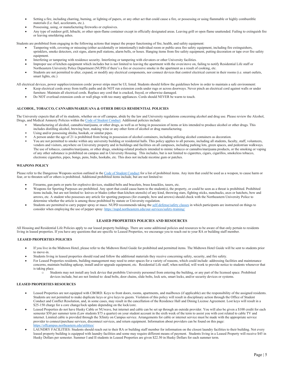- Setting a fire, including charring, burning, or lighting of papers, or any other act that could cause a fire, or possessing or using flammable or highly combustible materials (I.e. fuel, accelerants, etc.).
- Possessing, using, or manufacturing fireworks or explosives.
- Any type of outdoor grill, hibachi, or other open-flame container except in officially designated areas. Leaving grill or open flame unattended. Failing to extinguish fire or leaving smoldering ashes.

Students are prohibited from engaging in the following actions that impact the proper functioning of fire, health, and safety equipment:

- Tampering with, covering or misusing (either accidentally or intentionally) individual room or public-area fire safety equipment, including fire extinguishers, sprinklers, smoke detectors, exit signs, alarm pull stations, alarm bells, or hoses. Hanging items from fire safety equipment, putting decoration or tape over fire safety equipment.
- Interfering or tampering with residence security. Interfering or tampering with elevators or other University facilities.
- Improper use of kitchen equipment which includes but is not limited to leaving the apartment with the oven/stove on, failing to notify Residential Life staff or Northeastern University Police Department (NUPD) if there's a fire or excessive smoke in the apartment as a result of cooking, etc.
- Students are not permitted to alter, expand, or modify any electrical components, nor connect devices that control electrical current in their rooms (i.e. smart outlets, smart lights, etc.)

All electrical devices, power supplies/extension cords/ power strips must be UL listed. Students should follow the guidelines below in order to maintain a safe environment:

- Keep electrical cords away from traffic paths and do NOT run extension cords under rugs or across doorways. Never pinch an electrical cord against walls or under furniture. Maintain all electrical cords. Replace any cord that is cracked, frayed, or otherwise damaged.
- Do NOT overload extension cords or wall plugs with too many appliances. Cords should NEVER be warm to touch.

# <span id="page-7-0"></span>**ALCOHOL, TOBACCO, CANNABIS/MARIJUANA & OTHER DRUGS RESIDENTIAL POLICIES**

The University expects that all of its students, whether on or off campus, abide by the law and University regulations concerning alcohol and drug use. Please review the Alcohol, Drugs, and Medical Amnesty Policies within th[e Code of Student Conduct.](http://www.northeastern.edu/osccr/code-of-student-conduct/) Additional policies include:

- Manufacturing of alcohol, cannabis/marijuana, or other drugs, as well as or being in possession of items or kits intended to produce alcohol or other drugs. This includes distilling alcohol, brewing beer, making wine or any other form of alcohol or drug manufacturing.
- Using and/or possessing shisha, hookah, or similar pipes.
- A person under the age of 21 is prohibited from being in possession of alcohol containers, including utilizing alcohol containers as decoration.
- You are not permitted to smoke within any university building or residential halls. This policy applies to all persons, including all students, faculty, staff, volunteers, vendors and visitors, anywhere on University property and in buildings and facilities on all campuses, including parking lots, green spaces, and pedestrian walkways. The use of tobacco, cannabis/marijuana, or other drugs, smoking-related products intended to mimic tobacco or cannabis/marijuana products, or the smoking or vaping of any other substance is prohibited on campus and in University Housing. This includes, but is not limited to cigarettes, cigars, cigarillos, smokeless tobacco, electronic cigarettes, pipes, bongs, pens, bidis, hookahs, etc. This does not include nicotine gum or patches.

# <span id="page-7-1"></span>**WEAPONS POLICY**

Please refer to the Dangerous Weapons section outlined in th[e Code of Student Conduct](http://www.northeastern.edu/osccr/code-of-student-conduct) for a list of prohibited items. Any item that could be used as a weapon, to cause harm or fear, or to threaten self or others is prohibited. Additional prohibited items include, but are not limited to:

- Firearms, gun parts or parts for explosive devices, studded belts and bracelets, brass knuckles, tasers, etc.
- Weapons for Sporting Purposes are prohibited. Any sport that could cause harm to the student(s), the property, or could be seen as a threat is prohibited. Prohibited items include, but are not limited to: knives or blades (other than kitchen utensils) of any kind, throwing stars, fighting sticks, nunchucks, axes or hatchets, bow and arrows, etc. A student who possesses any article for sporting purposes (for example, bow and arrows) should check with the Northeastern University Police to determine whether the article is among those prohibited by statute or University regulation.
- Students are permitted to carry pepper spray or mace. NUPD recommends taking th[e self-defense/safety classes](https://nupd.northeastern.edu/our-services/safety-training/) in which participants are instructed on things to consider when employing the use of pepper spray[: https://nupd.northeastern.edu/our-services/safety-training/](https://nupd.northeastern.edu/our-services/safety-training/)

# **LEASED PROPERTIES POLICIES AND RESOURCES**

<span id="page-7-2"></span>All Housing and Residential Life Policies apply to our leased property buildings. There are some additional policies and resources to be aware of that only pertain to residents living in leased properties. If you have any questions that are specific to Leased Properties, we encourage you to reach out to your RA or building staff member.

# <span id="page-7-3"></span>**LEASED PROPERTIES POLICIES**

- If you live in the Midtown Hotel, please refer to the Midtown Hotel Guide for prohibited and permitted items. The Midtown Hotel Guide will be sent to students prior to move-in.
- Students living in leased properties should read and follow the additional materials they receive concerning safety, security, and fire safety.
- For Leased Properties residents, building management may need to enter spaces for a variety of reasons, which could include: addressing facilities and maintenance concerns, maintain building upkeep, install and/or upgrade equipment, etc. Residential Life staff, when notified, will work to provide notice to students whenever that is taking place.
	- o Students may not install any lock device that prohibits University personnel from entering the building, or any part of the licensed space. Prohibited devices include, but are not limited to: dead bolts, door chains, slide bolts, lock sets, smart locks, and/or security devices or systems.

#### <span id="page-7-4"></span>**LEASED PROPERTIES RESOURCES**

- Leased Properties are not equipped with CBORD. Keys to front doors, rooms, apartments, and mailboxes (if applicable) are the responsibility of the assigned residents. Students are not permitted to make duplicate keys or give keys to guests. Violation of this policy will result in disciplinary action through the Office of Student Conduct and Conflict Resolution, and, in some cases, may result in the cancellation of the Residence Hall and Dining License Agreement. Lost keys will result in a \$25-150 charge for a core change/lock update depending on the lock/core.
- Leased Properties do not have Husky Cable or NUwave, but internet and cable can be set up through an outside provider. You will also be given a \$100 credit for each semester \$50 per summer term (Law students \$75 a quarter) on your student account in the sixth week of the term to assist you with cost related to cable TV and internet. Limited cable is provided through the Xfinity on Campus service. Arrangements for cable or internet service must be made with the appropriate service provider to connect/purchase services, disconnect services, and return equipment. Information about providers can be found on this page: <https://offcampus.northeastern.edu/utilities/>
- LAUNDRY FACILITIES: Students should reach out to their RA or building staff member for information on the closest laundry facilities to their building. Not every leased property building is equipped with laundry facilities and some may require different means of payment. Students living in a Leased Property will receive \$45 in Husky Dollars per semester. Summer I and II students in Leased Properties are given \$22.50 in Husky Dollars for each summer term.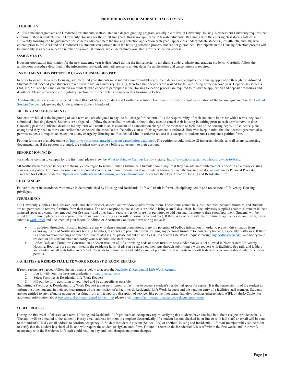# **PROCEDURES FOR RESIDENCE HALL LIVING**

# <span id="page-8-1"></span><span id="page-8-0"></span>**ELIGIBILITY**

All full-time undergraduate and Graduate/Law students, matriculated in a degree granting program, are eligible to live in University Housing. Northeastern University requires that entering first-year students live in University Housing for their first two years; this is not applicable to transfer students. Beginning with the entering class during fall 2014, University Housing can be guaranteed for students who complete the housing selection application each year. Upper class undergraduate students (3rd, 4th, 5th, and 6th) who entered prior to fall 2014 and all Graduate/Law students can participate in the housing selection process, but are not guaranteed. Participants in the Housing Selection process will be randomly assigned a selection number or a wait list number, which determines your status for the selection process.

#### <span id="page-8-2"></span>**ASSIGNMENTS**

Housing Application information for the next academic year is distributed during the fall semester to all eligible undergraduate and graduate students. Carefully follow the application procedure described in the information provided; strict adherence to all due dates for applications and cancellations is required.

# <span id="page-8-3"></span>**ENROLLMENT DEPOSIT/UPPER CLASS HOUSING DEPOSIT**

In order to secure University Housing, admitted first year students must submit a nonrefundable enrollment deposit and complete the housing application through the Admitted Student Portal. Second year students are required to live in University Housing, therefore their deposits are waived for fall and spring of their second year. Upper-class students (3rd, 4th, 5th, and 6th) and Graduate/Law students who choose to participate in the Housing Selection process are required to follow the application and deposit procedures and deadlines. Please reference the "Eligibility" section for further details on upper-class Housing Selection.

Additionally, students may be referred to the Office of Student Conduct and Conflict Resolution. For more information about cancellation of the license agreement or the Code of [Student Conduct,](http://www.northeastern.edu/osccr/code-of-student-conduct) please see the Undergraduate Student Handbook.

#### <span id="page-8-4"></span>**BILLING AND ADJUSTMENTS**

Students are billed at the beginning of each term and are obligated to pay the full charge for the term. It is the responsibility of each student to know for which terms they have submitted a housing deposit. Students are obligated to follow the cancellation schedule should they need to cancel their housing in writing prior to each term's move-in date. Canceling past the published deadline for any term will result in an assessment of a cancellation charge of the room rate or forfeiture of the housing deposit. If students' plans change and they need to move out earlier than expected, the cancellation-fee policy clause of this agreement is enforced. However, keep in mind that the license agreement also permits students to request an exception to any charge by Housing and Residential Life. In order to request this exception, students must complete a petition form.

Petition forms are available online at[: http://www.northeastern.edu/housing/cancellation-deadlines/.](http://www.northeastern.edu/housing/cancellation-deadlines/) The petition should include all important details, as well as any supporting documentation. If the petition is granted, the student may receive a billing adjustment to their account.

#### <span id="page-8-5"></span>**BEFORE MOVING IN**

For students coming to campus for the first time, please view th[e What to Bring to Campus List b](https://www.northeastern.edu/housing/what-to-bring/)y visiting[: https://www.northeastern.edu/housing/what-to-bring/](https://www.northeastern.edu/housing/what-to-bring/)

All Northeastern resident students are strongly encouraged to secure Renter's Insurance. Students should inquire if they can add an off-site "renter's rider" to an already existing homeowners policy. For more information on approved vendors, and more information about Renter's Insurance, visit th[e housing vendor](https://www.northeastern.edu/housing/vendor-information/) website under Personal Property Insurance for College Students[: https://www.northeastern.edu/housing/vendor-information/](https://www.northeastern.edu/housing/vendor-information/) or contact the Department of Housing and Residential Life.

#### <span id="page-8-6"></span>**CHECKING-IN**

Failure to enter in accordance with move in dates published by Housing and Residential Life will result in formal disciplinary action and revocation of University Housing privileges.

#### <span id="page-8-7"></span>**FURNISHINGS**

The University supplies a bed, dresser, desk, and chair for each student, and window shades for the room. These items cannot be substituted with personal furniture, and students are not permitted to remove furniture from their rooms. The one exception is that students are able to bring a small desk chair, but the university supplied chair must remain in their assigned space and cannot be removed. For fire safety and other health reasons, residents are not permitted to add personal furniture to their room/apartment. Students will be billed for furniture replacement or repairs (other than those occurring as a result of normal wear and tear). If there is a concern with the furniture or appliances in your room, please submit [a work order](https://facilities.northeastern.edu/request-repair/) and document in your Room Condition or Apartment Condition Form during move-in.

- In addition, throughout Boston, including areas with dense student populations, there is a potential of bedbug infestation. In order to prevent this situation from occurring in any of Northeastern's housing facilities, residents are prohibited from bringing any personal furniture to University housing, especially mattresses. If there is a concern about bedbugs or other furniture related issues, please fill out a Facilities & Residential Life Work Request throug[h my.northeastern.edu](https://my.northeastern.edu/) ) and notify your residential life staff member.and notify your residential life staff member.
- Lofted Beds and Furniture: Construction or deconstruction of lofts or raising beds or other furniture onto cinder blocks is not allowed in Northeastern University Housing. Bed risers are not permitted in the residence halls. Beds can be raised on their legs through submitting a work request with facilities. Bed rails and ladders are standard on all beds lofted over 5 feet. Requests to remove rails and ladders are not permitted, and requests to de-loft beds will be accommodated only if the room permits.

#### <span id="page-8-8"></span>**FACILITIES & RESIDENTIAL LIFE WORK REQUEST & ROOM REPAIRS**

If room repairs are needed, follow the instructions below to access th[e Facilities & Residential Life Work Request:](https://facilities.northeastern.edu/request-repair/)

- 1. Log in with your northeastern credentials [my.northeastern.edu](https://my.northeastern.edu/)
- 2. Select Facilities & Residential Life Work Request
- 3. Fill out the form according to your need and be as specific as possible.

Submitting a Facilities & Residential Life Work Request grants permission for facilities to access a student's residential space for repair. It is the responsibility of the student to inform the other students in their room/apartment of the submission of a Facilities & Residential Life Work Request and the pending entry of a facilities staff member. Students are not entitled to any refund or payments resulting from any temporary disruption of services like power, hot water, laundry, facilities emergencies, WIFI, or HuskyCable. For additional information abou[t services and policies related to Facilities](https://facilities.northeastern.edu/documents-forms/) please visit: https://facilities.northeastern.edu/documents-forms/

#### <span id="page-8-9"></span>**AUDIT PROCESS**

During the first week of classes each term, Housing and Residential Life produces an occupancy report verifying that students have checked in to their assigned residence halls. The audit will be e-mailed to the student's Husky email address for them to complete electronically. If a student has not checked in on-line or with hall staff, an email will be sent to the student's Husky email address to confirm occupancy. A Student Resident Assistant (Student RA) or another Housing and Residential Life staff member will visit the room to verify that the student has checked in, and will require the student to sign an audit form. Failure to return to the Residential Life staff within the first week, and/or to verify occupancy with the Residence Life staff could result in key and lock changes and room changes.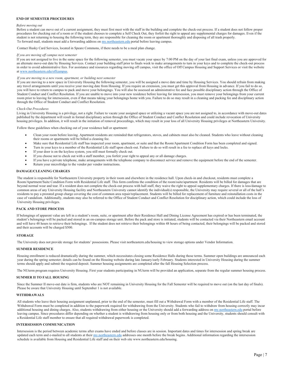#### <span id="page-9-0"></span>**END OF SEMESTER PROCEDURES**

#### <span id="page-9-1"></span>*Before moving out*

Before a student can move out of a current assignment, they must first meet with the staff in the building and complete the check-out process. If a student does not follow proper procedures for checking out of a room or if the student chooses to complete a Self Check Out, they forfeit the right to appeal any supplemental charges for damages. Even if the student is not returning to housing the following term, they are responsible for cleaning the room or apartment thoroughly and disposing of all trash properly. To forward mail, students must add a forwarding address on [my.northeastern.edu](https://my.northeastern.edu/) portal before leaving campus.

Contact Husky Card Services, located in Speare Commons, if there needs to be a meal plan change.

#### <span id="page-9-2"></span>*If you are moving off campus next semester*

If you are not assigned to live in the same space for the following semester, you must vacate your space by 7:00 PM on the day of your last final exam, unless you are approved for an alternate move-out date by Housing Services. Contact your building staff prior to finals week to make arrangements to turn in your keys and to complete the check-out process in order to avoid administrative fees. For assistance and resources regarding moving off campus, visit the office of Off Campus Housing and Support Services or visit the website a[t www.northeastern.edu/offcampus.](http://www.northeastern.edu/offcampus)

#### <span id="page-9-3"></span>*If you are moving to a new room, apartment, or building next semester*

If you are moving to a new space in University Housing the following semester, you will be assigned a move date and time by Housing Services. You should refrain from making any travel arrangements until you receive your moving date from Housing. If you require an extension, you must get this approval from Housing in advance. If you fail to do so, you will have to return to campus to pack and move your belongings. You will also be assessed an administrative fee and face possible disciplinary action through the Office of Student Conduct and Conflict Resolution. If you are unable to move into your new residence before leaving for intersession, you must remove your belongings from your current room prior to leaving for intersession, even if that means taking your belongings home with you. Failure to do so may result in a cleaning and packing fee and disciplinary action through the Office of Student Conduct and Conflict Resolution.

#### <span id="page-9-4"></span>*Check-Out Procedures*

Living in University Housing is a privilege, not a right. Failure to vacate your assigned space or utilizing a vacant space you are not assigned to, in accordance with move-out dates published by the department will result in formal disciplinary action through the Office of Student Conduct and Conflict Resolution and could include revocation of University housing privileges. In addition, it will result in the initiation of removal proceedings, which may result in your loss of all University Housing privileges at Northeastern University.

Follow these guidelines when checking out of your residence hall or apartment:

- Clean your room before leaving. Apartment residents are reminded that refrigerators, stoves, and cabinets must also be cleaned. Students who leave without cleaning their rooms or apartments will be billed a cleaning fee.
- Make sure that Residential Life staff has inspected your room, apartment, or suite and that the Room/Apartment Condition Form has been completed and signed.
- Turn in your keys to a member of the Residential Life staff upon check-out. Failure to do so will result in a fee to replace all keys and locks.
- If your door is on the keyless system, you still must formally check out.
- If you choose not to check out with a staff member, you forfeit your right to appeal any or all damage charges.
- If you have a private telephone, make arrangements with the telephone company to disconnect service and remove the equipment before the end of the semester.
- Return your microfridge to the vendor per vendor instructions.

#### <span id="page-9-5"></span>**DAMAGE/CLEANING CHARGES**

The student is responsible for Northeastern University property in their room and elsewhere in the residence hall. Upon check-in and checkout, residents must complete a Room/Apartment/Suite Condition Form with Residential Life staff. This form confirms the condition of the room/suite/apartment. Residents will be billed for damages that are beyond normal wear and tear. If a resident does not complete the check-out process with hall staff, they waive the right to appeal supplementary charges. If there is loss/damage to common areas of any University Housing facility and Northeastern University cannot identify the individual(s) responsible, the University may require several or all of the hall's residents to pay a prorated group charge covering the cost of common area repair/replacement. Students will be billed for replacement of furniture and reinstallation costs in the case of vandalism. Additionally, students may also be referred to the Office of Student Conduct and Conflict Resolution for disciplinary action, which could include the loss of University Housing privileges.

#### <span id="page-9-6"></span>**PACK AND STORE PROCESS**

If belongings of apparent value are left in a student's room, suite, or apartment after their Residence Hall and Dining License Agreement has expired or has been terminated, the student's belongings will be packed and stored in an on-campus storage unit. Before the pack and store is initiated, students will be contacted via their Northeastern email account and will have 48 hours to retrieve their belongings. If the student does not retrieve their belongings within 48 hours of being contacted, their belongings will be packed and stored and their accounts will be charged \$500.

#### <span id="page-9-7"></span>**STORAGE**

The University does not provide storage for students' possessions. Please visit northeastern.edu/housing to view storage options under Vendor Information.

#### <span id="page-9-8"></span>**SUMMER RESIDENCE**

Housing enrollment is reduced dramatically during the summer, which necessitates closing some Residence Halls during those terms. Summer open buildings are announced each year during the spring semester; details can be found on the Housing website during late January/early February. Students interested in University Housing during the summer terms should apply and submit the required deposit. Summer housing assignments are completed after the fall Housing Selection process.

The NUterm program requires University Housing. First year students participating in NUterm will be provided an application, separate from the regular summer housing process.

#### <span id="page-9-9"></span>**SUMMER II TO FALL HOUSING**

Since the Summer II move-out date is firm, students who are NOT remaining in University Housing for the Fall Semester will be required to move out (on the last day of finals). Please be aware that University Housing until September 1 is not available.

#### <span id="page-9-10"></span>**WITHDRAWALS**

All students who leave their housing assignment unplanned, prior to the end of the semester, must fill out a Withdrawal Form with a member of the Residential Life staff. The Withdrawal Form must be completed in addition to the paperwork required for withdrawing from the University. Students who fail to withdraw from housing correctly may incur additional housing and dining charges. Also, students withdrawing from either housing or the University should add a forwarding address o[n my.northeastern.edu](https://my.northeastern.edu/) portal before leaving campus. Since procedures differ depending on whether a student is withdrawing from housing only or from both housing and the University, students should consult with a Residential Life staff member to ensure that all required withdrawal paperwork is completed.

#### <span id="page-9-11"></span>**INTERSESSION COMMUNICATION**

Intersession is the period between academic terms after exams have ended and before classes are in session. Important dates and times for intersession and spring break are updated each term and e-mailed to all students at thei[r my.northeastern.edu](https://my.northeastern.edu/) addresses one month before the break begins. Additional information regarding the intersession schedule is available from Housing and Residential Life staff and on their web site www.northeastern.edu/housing.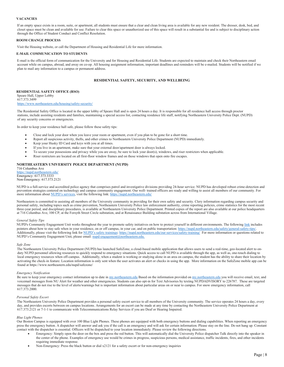#### <span id="page-10-0"></span>**VACANCIES**

If an empty space exists in a room, suite, or apartment, all students must ensure that a clear and clean living area is available for any new resident. The dresser, desk, bed, and closet space must be clean and available for use. Failure to clear this space or unauthorized use of this space will result in a substantial fee and is subject to disciplinary action through the Office of Student Conduct and Conflict Resolution.

#### <span id="page-10-1"></span>**ROOM CHANGE PROCESS**

Visit the Housing website, or call the Department of Housing and Residential Life for more information.

#### <span id="page-10-2"></span>**E-MAIL COMMUNICATION TO STUDENTS**

E-mail is the official form of communication for the University and for Housing and Residential Life. Students are expected to maintain and check their Northeastern email account while on campus, abroad, and away on co-op. All housing assignment information, important deadlines and reminders will be e-mailed. Students will be notified if we plan to mail any information to a campus or permanent address.

#### **RESIDENTIAL SAFETY, SECURITY, AND WELLBEING**

<span id="page-10-4"></span><span id="page-10-3"></span>**RESIDENTIAL SAFETY OFFICE (RSO)** Speare Hall, Upper Lobby 617.373.3499 <https://www.northeastern.edu/housing/safety-security/>

The Residential Safety Office is located in the upper lobby of Speare Hall and is open 24 hours a day. It is responsible for all residence hall access through proctor stations, include assisting residents and families, maintaining a special access list, contacting residence life staff, notifying Northeastern University Police Dept. (NUPD) of any security concerns or emergencies.

In order to keep your residence hall safe, please follow these safety tips:

- Close and lock your door when you leave your room or apartment, even if you plan to be gone for a short time.
- Report all suspicious activity, thefts, and other crimes to Northeastern University Police Department (NUPD) immediately.
- Keep your Husky ID Card and keys with you at all times.
- If you live in an apartment, make sure that your external door/apartment door is always locked.
- To secure your possessions and privacy while you are away, be sure to lock your door(s), windows, and riser restrictors when applicable.
- Riser restrictors are located on all first-floor window frames and on those windows that open onto fire escapes.

# <span id="page-10-5"></span>**NORTHEASTERN UNIVERSITY POLICE DEPARTMENT (NUPD)**

716 Columbus Ave <https://nupd.northeastern.edu/> Emergency: 617.373.3333 Non-Emergency: 617.373.2121

NUPD is a full-service and accredited police agency that comprises patrol and investigative divisions providing 24-hour service. NUPD has developed robust crime-detection and prevention strategies centered on technology and campus community engagement. Our well- trained officers are ready and willing to assist all members of our community. For more information abou[t NUPD's services,](https://nupd.northeastern.edu/) visit the following link[: https://nupd.northeastern.edu/](https://nupd.northeastern.edu/)

Northeastern is committed to assisting all members of the University community in providing for their own safety and security. Clery information regarding campus security and personal safety, including topics such as crime prevention, Northeastern University Police law enforcement authority, crime reporting policies, crime statistics for the most recent three-year period, and disciplinary procedures, is available at Northeastern University Police Department. Printed copies of the report are also available at our police headquarters at 716 Columbus Ave, 100 CP, at the Forsyth Street Circle substation, and at Renaissance Building substation across from International Village.

#### <span id="page-10-6"></span>*General Safety Tips*

NUPD's Community Engagement Unit works throughout the year to promote safety initiatives on how to protect yourself in different environments. The followin[g link](https://nupd.northeastern.edu/safety/general-safety-tips/) includes pointers about how to stay safe when in your residence, on or off campus, in your car, and on public transportation: https://nupd.northeastern.edu/safety/general-safety-tips/. Additionally, please visit the following link for [NUPD's safety trainings: https://nupd.northeastern.edu/our-services/safety-training/](https://nupd.northeastern.edu/our-services/safety-training/) For more information or questions related to NUPD's Community Engagement Unit, please email[: nupd-engagement@northeastern.edu.](mailto:nupd-engagement@northeastern.edu)

#### <span id="page-10-7"></span>*Safe Zone*

The Northeastern University Police Department (NUPD) has launched SafeZone, a cloud-based mobile application that allows users to send a real-time, geo-located alert to onduty NUPD personnel allowing resources to quickly respond to emergency situations. Quick access to call NUPD is available through the app, as well as, one-touch dialing to local emergency resources when off-campus. Additionally, when a student is working or studying alone in an area on campus, the student has the ability to share their location by activating the check-in feature. Location information is only sent when the user activates an alert or checks in using the app. More information on the SafeZone mobile app can be found at https://www.northeastern.edu/nupd/safezone/

#### <span id="page-10-8"></span>*Emergency Notification*

Be sure to keep your emergency contact information up to date i[n my.northeastern.edu](https://my.northeastern.edu/) Based on the information provided on my.northeastern.edu you will receive email, text, and voicemail messages from NU Alert for weather and other emergencies. Students can also opt-in for Text Advisories by texting NUPDADVISORY to 226787. These are targeted messages that do not rise to the level of alerts/warnings but is important information about particular areas on or near to campus. For snow emergency information, call 617.373.2000.

#### <span id="page-10-9"></span>*Personal Safety Escort*

The Northeastern University Police Department provides a personal safety escort service to all members of the University community. The service operates 24 hours a day, every day, and provides escorts between on campus locations. Arrangements for an escort can be made at any time by contacting the Northeastern University Police Department at 617.373.2121 or 7-1-1 to communicate with Telecommunications Relay Services if you are Deaf or Hearing Impaired.

#### <span id="page-10-10"></span>*Blue Light Phones*

Our Boston Campus is equipped with over 100 Blue Light Phones. These phones are equipped with both emergency buttons and dialing capabilities. When reporting an emergency press the emergency button. A dispatcher will answer and ask you if the call is an emergency and will ask for certain information. Please stay on the line. Do not hang up. Constant contact with the dispatcher is essential. Officers will be dispatched to your location immediately. Please review the following directions.

- Emergency: Simply open the door on the box and press the red button. This will automatically dial the University Police dispatcher Talk directly into the speaker in the center of the phone. Examples of emergency use would be crimes in progress, suspicious persons, medical assistance, traffic incidents, fires, and other incidents requiring immediate response.
- Non-Emergency: Press the black button or dial x2121 for a safety escort or for non-emergency inquiries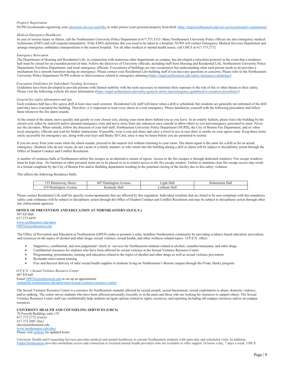#### <span id="page-11-0"></span>*Property Registration*

NUPD recommends registering you[r electronic devices and bike](https://nupd.northeastern.edu/our-services/property-registration/) in order protect your personal property from theft[: https://nupd.northeastern.edu/our-services/property-registration/](https://nupd.northeastern.edu/our-services/property-registration/)

#### <span id="page-11-1"></span>*Medical Emergency/Healthcare*

In case of serious injury or illness, call the Northeastern University Police Department at 617.373.3333. Many Northeastern University Police officers are also emergency medical technicians (EMT) and will respond immediately. If the EMTs determine that you need to be taken to a hospital, NUPD will contact Emergency Medical Services Department and arrange emergency ambulance transportation to the nearest hospital. For all other medical or mental health issues, call UHCS at 617.373.2772.

#### <span id="page-11-2"></span>*Emergency Relocation*

The Department of Housing and Residential Life, in conjunction with numerous other departments on campus, has developed a relocation protocol in the event that a residence hall must be closed for an extended period of time. Follow the directives of University officials, including staff from Housing and Residential Life, Northeastern University Police Department, Facilities Department, and local emergency officials. Evacuations of buildings are rare occurrences but understanding what each person needs to do provides a mechanism for a smooth transition during an emergency. Please contact your Residential Life building staff if you have any questions or concerns. Please refer to the Northeastern University Police Department NUPD website to find resources related to emergency planning [\(https://nupd.northeastern.edu/safety/emergency-planning/\)](https://nupd.northeastern.edu/safety/emergency-planning/).

#### <span id="page-11-3"></span>*Evacuation Guidelines for Individuals Needing Assistance*

Guidelines have been developed to provide persons with limited mobility with the tools necessary to minimize their exposure to the risk of fire or other threats to their safety. Please visit the following website for more information [\(https://nupd.northeastern.edu/safety/general-safety-tips/emergency-guidebook/evacuation-procedures/\)](https://nupd.northeastern.edu/safety/general-safety-tips/emergency-guidebook/evacuation-procedures/)

#### <span id="page-11-4"></span>*General fire safety information and tips*

Each residence hall has a fire egress drill at least once each semester. Residential Life staff will know when a drill is scheduled, but residents are generally not informed of the drill until they have evacuated the building. Therefore, it is important to treat every alarm as a real emergency. Please familiarize yourself with the following procedures and follow them whenever the fire alarm sounds:

At the sound of the alarm, move quickly and quietly to your closest exit, closing your room doors behind you as you leave. In an orderly fashion, please leave the building by the closest exit, either by stairwell and/or alarmed emergency exits and move away from any entrances once outside to allow others to exit and emergency personnel to enter. Never use the elevators. When outside, follow the direction of your hall staff, Northeastern University Police Department (NUPD), the City of Boston Fire Department, and or/ other local emergency officials and wait for further instructions. If possible, wear a coat and shoes and carry a towel to use in case there is smoke on your egress route. Keep these items easily accessible for emergency use, along with your keys and Husky ID Card, since it may be hours before you are permitted to reenter.

If you are away from your room when the alarm sounds, proceed to the nearest exit without returning to your room. The alarm signal is the same for a drill as for an actual emergency. Students who do not vacate, do not vacate in a timely manner, or who return into the building during a drill or alarm will be subject to disciplinary action through the Office of Student Conduct and Conflict Resolution.

A number of residence halls at Northeastern utilize fire escapes as an alternative means of egress. Access to the fire escapes is through dedicated windows. Fire escape windows must be kept clear. No furniture or other personal items are to be placed so as to restrict access to the fire escape window. Failure to maintain clear fire escape access may result in a formal complaint by the City of Boston Fire and/or Building department resulting in the potential closing of the facility due to this safety violation.

This affects the following Residence Halls:

| $-1$<br>Street<br>demenway<br>. . <i>.</i> | 40 <sup>7</sup><br>--<br>venue<br>oton<br>$\ldots$ ungu | Hall<br>.19ht | Rubenstein.<br>Hal |
|--------------------------------------------|---------------------------------------------------------|---------------|--------------------|
| -1.0<br>ınotor<br>Avenue<br>,,,,,          | Kenned<br>. ads<br>Hall                                 | 'mar<br>Hall  |                    |

Please contact Residential Life staff for specific rooms/apartments that are affected by this regulation. Individual residents that are found to be non-compliant with this mandatory safety code ordinance will be subject to disciplinary action through the Office of Student Conduct and Conflict Resolution and may be subject to disciplinary action through other law enforcement agencies.

# <span id="page-11-5"></span>**OFFICE OF PREVENTION AND EDUCATION AT NORTHEASTERN (O.P.E.N.)**

| <b>307 Ell Hall</b>       |
|---------------------------|
| 617.373.4459              |
| www.northeastern.edu/open |
| OPEN@northeastern.edu     |

The Office of Prevention and Education at Northeastern (OPEN) seeks to promote a safer, healthier Northeastern community by providing evidence-based education, prevention, and resources on the topics of alcohol and other drugs, sexual violence, sexual health, and other wellness-related topics. O.P.E.N. offers:

- Supportive, confidential, and non-judgmental 'check in' services for Northeastern students related to alcohol, cannabis/marijuana, and other drugs
- Confidential resources for students who have been affected by sexual violence at the Sexual Violence Resource Center
- Programming, presentations, training and education related to the topics of alcohol and other drugs as well as sexual violence prevention
- Bystander intervention training
- Free and discreet delivery of safer sexual health supplies to students living on Northeastern's Boston campus through the Frisky Husky program.

<span id="page-11-6"></span>*O.P.E.N.'s Sexual Violence Resource Center*  407 Ell hall Email [OPEN@northeastern.edu](mailto:OPEN@northeastern.edu) to set up an appointment [studentlife.northeastern.edu/open/meet/sexual-violence-resource-center/](https://studentlife.northeastern.edu/open/meet/sexual-violence-resource-center/)

The Sexual Violence Resource Center is a resource for Northeastern students affected by sexual assault, sexual harassment, sexual exploitation or abuse, domestic violence, and/or stalking. The center serves students who have been affected personally (recently or in the past) and those who are looking for resources to support others. The Sexual Violence Resource Center staff can confidentially help students navigate options related to rights, resources, and reporting including off-campus resources and/or on-campus resources.

<span id="page-11-7"></span>**UNIVERSITY HEALTH AND COUNSELING SERVICES (UHCS)**

70 Forsyth Building, suite 135 617.373.2772 (voice) 617.373.2601 (fax) uhcs@northeastern.edu [www.northeastern.edu/uhcs](http://www.northeastern.edu/uhcs) Please visi[t website](https://www.northeastern.edu/uhcs/about-uhcs/contact-us/) for updated hours

University Health and Counseling Services provides medical and mental healthcare to current Northeastern students with same-day and scheduled visits. In addition, [Find@Northeastern](https://www.northeastern.edu/uhcs/find-at-northeastern/) provides immediate access and connection to licensed mental health providers who are available to offer support 24 hours a day, 7 days a week. UHCS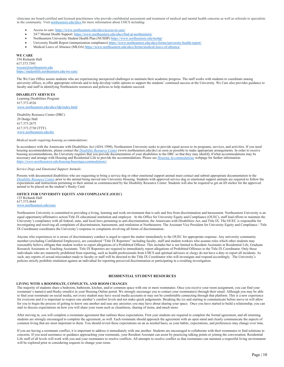clinicians are board-certified and licensed practitioners who provide confidential assessment and treatment of medical and mental health concerns as well as referrals to specialists in the community. Visi[t northeastern.edu/uhcs](https://www.northeastern.edu/uhcs/) for more information about UHCS including:

- Access to care[: https://www.northeastern.edu/uhcs/access-to-care/](https://www.northeastern.edu/uhcs/access-to-care/)
- 24/7 Mental Health Support[: https://www.northeastern.edu/uhcs/find-at-northeastern/](https://www.northeastern.edu/uhcs/find-at-northeastern/)
- Northeastern University Student Health Plan (NUSHP[\) https://www.northeastern.edu/nushp/](https://www.northeastern.edu/nushp/)
- University Health Report (immunization compliance[\) https://www.northeastern.edu/uhcs/forms/university-health-report/](https://www.northeastern.edu/uhcs/forms/university-health-report/)
- Medical Leave of Absence (MLOA[\) https://www.northeastern.edu/uhcs/forms/medical-leave-of-absence/](https://www.northeastern.edu/uhcs/forms/medical-leave-of-absence/)

<span id="page-12-0"></span>**WE CARE** 354 Richards Hall 617.373.7591 [wecare@northeastern.edu](mailto:wecare@northeastern.edu) <https://studentlife.northeastern.edu/we-care/>

The We Care Office assists students who are experiencing unexpected challenges to maintain their academic progress. The staff works with students to coordinate among university offices, to offer appropriate referrals and to help develop viable options to support the students' continued success at the University. We Care also provides guidance to faculty and staff in identifying Northeastern resources and policies to help students succeed.

<span id="page-12-1"></span>**DISABILITY SERVICES** Learning Disabilities Program

617.373.4526 [www.northeastern.edu/uhcs/ldp/index.html](http://www.northeastern.edu/uhcs/ldp/index.html)

Disability Resource Center (DRC) 20 Dodge Hall 617.373.2675 617.373.2730 (TTY) [www.northeastern.edu/drc](http://www.northeastern.edu/drc) 

#### <span id="page-12-2"></span>*Medical needs requiring housing accommodations:*

In accordance with the Americans with Disabilities Act (ADA 1990), Northeastern University seeks to provide equal access to its programs, services, and activities. If you need housing accommodations, please contact the *[Disability Resource Center](https://drc.sites.northeastern.edu/requesting-accommodations/)* (www.northeastern.edu/drc) as soon as possible to make appropriate arrangements. In order to receive housing accommodations, the University requires that you provide documentation of your disabilities to the DRC so that they may identify if/what accommodations may be necessary and arrange with Housing and Residential Life to provide the accommodations. Please see *[Housing Accommodations](https://www.northeastern.edu/housing/housingaccommodations/)* webpage for further information: *<https://www.northeastern.edu/housing/housingaccommodations/>*.

#### <span id="page-12-3"></span>*Service Dogs and Emotional Support Animals:*

Persons with documented disabilities who are requesting to bring a service dog or other emotional support animal must contact and submit appropriate documentation to the *Disability Resource Center* prior to the animal being moved into University Housing. Students with approved service dog or emotional support animals are required to follow the expectations and instructions pertaining to their animal as communicated by the Disability Resource Center. Students will also be required to get an ID sticker for the approved animal to be placed on the student's Husky Card.

**OFFICE FOR UNIVERSITY EQUITY AND COMPLIANCE (OUEC)** 125 Richards Hall 617.373.4644 [www.northeastern.edu/ouec](http://www.northeastern.edu/ouec)

Northeastern University is committed to providing a living, learning and work environment that is safe and free from discrimination and harassment. Northeastern University is an equal opportunity/affirmative action/Title IX educational institution and employer. At the Office for University Equity and Compliance (OUEC), staff lead efforts to maintain the University's compliance with all federal, state, and local laws pertaining to anti-discrimination, the Americans with Disabilities Act, and Title IX. The OUEC is responsible for investigating and resolving all complaints of discrimination, harassment, and retaliation at Northeastern. The Assistant Vice President for University Equity and Compliance / Title IX Coordinator coordinates the University's response to complaints involving all forms of discrimination.

Anyone who experiences or is aware of discriminatory conduct is urged to report the matter immediately to the OUEC for appropriate response. Any university community member (excluding Confidential Employees), are considered "Title IX Reporters" including faculty, staff and student workers who assume roles which other students may reasonably believe obligate that student worker to report allegations of a Prohibited Offense. This includes but is not limited to Resident Assistants in Residential Life, Graduate Research Assistants or Teaching Assistants. Title IX Reporters are required to immediately report allegations of Prohibited Offenses to the Title IX Coordinator. Only those individuals who are statutorily prohibited from reporting, such as health professionals from UHCS and spiritual advisors or clergy do not have a duty to report all incidents. As such, any reports of sexual misconduct made to faculty or staff will be directed to the Title IX Coordinator who will investigate and respond accordingly. The University's policies strictly prohibits retaliation against an individual for reporting perceived discrimination or participating in a resulting investigation.

#### <span id="page-12-4"></span>**RESIDENTIAL STUDENT RESOURCES**

#### <span id="page-12-5"></span>**LIVING WITH A ROOMMATE, CONFLICTS, AND ROOM CHANGES**

The majority of students share a bedroom, bathroom, kitchen, and/or common space with one or more roommates. Once you receive your room assignment, you can find your roommate's name(s) and Husky email(s) in your Housing Online portal. We strongly encourage you to contact your roommate(s) through their email. Although you may be able to find your roommate on social media, not every student may have social media accounts or may not be comfortable connecting through that platform. This is a new experience for everyone and it is important to respect one another's comfort levels and not make quick judgements. Breaking the ice and starting to communicate before move-in will allow for you to begin the process of getting to know one another and ease any anxieties you may have about sharing your space. Once you have started to build a relationship, you can start to discuss expectations on how you will share your room such as cleanliness, sharing of items, and much more.

After moving in, you will complete a roommate agreement that outlines these expectations. First year students are required to complete the formal agreement, and all returning students are strongly encouraged to complete the agreement, as well. Each roommate should approach the agreement with an open mind and clearly communicate the aspects of common living that are most important to them. You should revisit these expectations on an as needed basis, as your habits, expectations, and preferences may change over time.

If you are having a roommate conflict, it is important to address it immediately with one another. Students are encouraged to collaborate with their roommates to find solutions to concerns. If you need assistance or guidance approaching your roommate, your Resident Assistant can assist by practicing talking points or joining the conversation. Residential Life staff of all levels will work with you and your roommates to resolve conflicts. All attempts to resolve conflict so that roommates can maintain a respectful living environment will be explored prior to considering requests to change your room.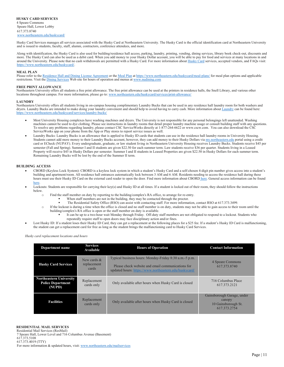<span id="page-13-0"></span>Husky Card Services manages all services associated with the Husky Card at Northeastern University. The Husky Card is the official identification card at Northeastern University and is issued to students, faculty, staff, alumni, contractors, conference attendees, and more.

Along with identification, the Husky Card is also used for building/residence hall access, parking, laundry, printing, vending, dining services, library book check-out, discounts and more. The Husky Card can also be used as a debit card. When you add money to your Husky Dollar account, you will be able to pay for food and services at many locations in and around the University. Please note that no cash withdrawals are permitted with a Husky Card. For more information abou[t Husky Card](https://www.northeastern.edu/huskycard/) services, accepted vendors, and FAQs visit: [https://www.northeastern.edu/huskycard/.](https://www.northeastern.edu/huskycard/)

#### <span id="page-13-1"></span>**MEAL PLAN**

Please refer to the [Residence Hall and Dining License Agreement](https://www.northeastern.edu/housing/license-agreement/) or th[e Meal Plan](https://www.northeastern.edu/huskycard/meal-plans/) a[t https://www.northeastern.edu/huskycard/meal-plans/](https://www.northeastern.edu/huskycard/meal-plans/) for meal plan options and applicable restrictions. Visit th[e Dining Services](https://www.nudining.com/public) Web site for hours of operation and menus at [www.nudining.com](http://www.nudining.com/)

#### <span id="page-13-2"></span>**FREE PRINT ALLOWANCE**

Northeastern University offers all students a free print allowance. The free print allowance can be used at the printers in residence halls, the Snell Library, and various other locations throughout campus. For more information, please go to[: www.northeastern.edu/huskycard/services/print-allowance/](http://www.northeastern.edu/huskycard/services/print-allowance/)

#### <span id="page-13-3"></span>**LAUNDRY**

Northeastern University offers all students living in on-campus housing complimentary Laundry Bucks that can be used in any residence hall laundry room for both washers and dryers. Laundry Bucks are intended to make doing your laundry convenient and should help to avoid having to carry cash. More information abou[t Laundry](https://www.northeastern.edu/huskycard/services/laundry-bucks/) can be found here: <https://www.northeastern.edu/huskycard/services/laundry-bucks/>

- Most University Housing complexes have washing machines and dryers. The University is not responsible for any personal belongings left unattended. Washing machines cannot be used to dye clothing. Please see instructions in laundry rooms that detail proper laundry machine usage or consult building staff with any questions. To resolve any problems regarding laundry, please contact CSC ServiceWorks directly at 1-877-264-6622 or www.cscw.com. You can also download the CSC ServiceWorks app on your phone from the App or Play stores to report service issues as well.
- Laundry Bucks: Laundry Bucks is an allowance that is applied to Husky ID cards that students can use in the residence hall laundry rooms in University Housing. Students cannot add more money to their Laundry Bucks account, however, they can add money to their Husky Dollars vi[a my.northeastern.edu](https://my.northeastern.edu/) portal using a credit card or ECheck (NUPAY). Every undergraduate, graduate, or law student living in Northeastern University Housing receives Laundry Bucks. Students receive \$45 per semester (Fall and Spring). Summer I and II students are given \$22.50 for each summer term. Law students receive \$36 per quarter. Students living in a Leased Property will receive \$45 in Husky Dollars per semester. Summer I and II students in Leased Properties are given \$22.50 in Husky Dollars for each summer term. Remaining Laundry Bucks will be lost by the end of the Summer II term.

#### <span id="page-13-4"></span>**BUILDING ACCESS**

- CBORD (Keyless Lock System): CBORD is a keyless lock system in which a student's Husky Card and a self-chosen 4-digit pin number gives access into a student's building and apartment/room. All residence hall entrances automatically lock between 3 AM and 6 AM. Residents needing to access the residence hall during these hours must use their Husky ID Card on the external card reader to open the door. Find more information abou[t CBORD](http://www.northeastern.edu/huskycard/services/husky-locks/) here. General access information can be found [here.](https://facilities.northeastern.edu/departments/operations/trades/access_control/)
- Lockouts: Students are responsible for carrying their key(s) and Husky ID at all times. If a student is locked out of their room, they should follow the instructions below.
	- o Find the staff member on duty by reporting to the building/complex's RA office, to arrange for re-entry.
		- When staff members are not in the building, they may be contacted through the proctor.
		- The Residential Safety Office (RSO) can assist with contacting staff. For more information, contact RSO at 617.373.3499.
	- o If the lockout is during a time when the office is closed and no staff member is on duty, students may not be able to gain access to their room until the building/complex's RA office is open or the staff member on duty is available.
		- It can be up to a two-hour wait Monday through Friday. Off-duty staff members are not obligated to respond to a lockout. Students who repeatedly require staff to open doors may face disciplinary action and/or fines.
- Lost Husky ID: If a student loses their Husky ID Card, they can get a replacement at the following places for a \$25 fee. If a student's Husky ID Card is malfunctioning, the student can get a replacement card for free as long as the student brings the malfunctioning card to Husky Card Services.

<span id="page-13-5"></span>*Husky card replacement locations and hours*

| Department name                                                      | <b>Services</b><br>Available           | <b>Hours of Operation</b>                                                                                                                                             | <b>Contact Information</b>                                                  |
|----------------------------------------------------------------------|----------------------------------------|-----------------------------------------------------------------------------------------------------------------------------------------------------------------------|-----------------------------------------------------------------------------|
| <b>Husky Card Services</b>                                           | New cards $\&$<br>replacement<br>cards | Typical business hours: Monday-Friday 8:30 a.m.-5 p.m.<br>Please check website and email communications for<br>updated hours: https://www.northeastern.edu/huskycard/ | 4 Speare Commons<br>617.373.8740                                            |
| <b>Northeastern University</b><br><b>Police Department</b><br>(NUPD) | Replacement<br>cards only              | Only available after hours when Husky Card is closed                                                                                                                  | 716 Columbus Place<br>617.373.2121                                          |
| <b>Facilities</b>                                                    | Replacement<br>cards only              | Only available after hours when Husky Card is closed                                                                                                                  | Gainsborough Garage, under<br>canopy<br>10 Gainsborough St.<br>617.373.2754 |

#### <span id="page-13-6"></span>**RESIDENTIAL MAIL SERVICES**

Residential Mail Services (ResMail) 7 Speare Hall, Lower Level and 716 Columbus Avenue (Basement) 617.373.5108 617.373.4019 (TTY) For more information & updated hours, visit[: www.northeastern.edu/mailservices](http://www.northeastern.edu/mailservices)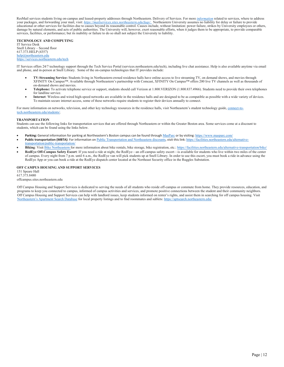ResMail services students living on-campus and leased-property addresses through Northeastern. Delivery of Services. For more *[information](https://mailservices.sites.northeastern.edu/faqs/)* related to services, where to address your packages, and forwarding your mail, visit: *[https://mailservices.sites.northeastern.edu/faqs/.](https://mailservices.sites.northeastern.edu/faqs/)* Northeastern University assumes no liability for delay or failure to provide educational or other services for facilities due to causes beyond its reasonable control. Causes include, without limitation: power failure, strikes by University employees or others, damage by natural elements, and acts of public authorities. The University will, however, exert reasonable efforts, when it judges them to be appropriate, to provide comparable services, facilities, or performance; but its inability or failure to do so shall not subject the University to liability.

<span id="page-14-0"></span>**TECHNOLOGY AND COMPUTING** IT Service Desk Snell Library – Second floor 617.373.HELP (4357) [help@northeastern.edu](mailto:help@northeastern.edu) [https://services.northeastern.edu/tech](https://nam12.safelinks.protection.outlook.com/?url=https%3A%2F%2Fservices.northeastern.edu%2Ftech&data=04%7C01%7Cr.pozerski%40northeastern.edu%7Ceb11e0e7d007495b4c1908d9408d55ea%7Ca8eec281aaa34daeac9b9a398b9215e7%7C0%7C0%7C637611798033232077%7CUnknown%7CTWFpbGZsb3d8eyJWIjoiMC4wLjAwMDAiLCJQIjoiV2luMzIiLCJBTiI6Ik1haWwiLCJXVCI6Mn0%3D%7C1000&sdata=hr%2BlNSdQdo1VCYqak%2F9mx7p1fHXKH5Aszml%2B%2Fg4iSQA%3D&reserved=0)

IT Services offers 24/7 technology support through the Tech Service Portal (services.northeastern.edu/tech), including live chat assistance. Help is also available anytime via email and phone, and in-person at Snell Library. Some of the on-campus technologies that IT provides include:

- **TV-Streaming Service:** Students living in Northeastern-owned residence halls have online access to live streaming TV, on demand shows, and movies through XFINITY On Campus™. Available through Northeastern's partnership with Comcast, XFINITY On Campus™ offers 200 live TV channels as well as thousands of on-demand shows and movies.
- **Telephone:** To activate telephone service or support, students should call Verizon at 1.800.VERIZON (1.800.837.4966). Students need to provide their own telephones for landline service.
- **Internet**: Wireless and wired high-speed networks are available in the residence halls and are designed to be as compatible as possible with a wide variety of devices. To maintain secure internet access, some of these networks require students to register their devices annually to connect.

For more information on networks, television, and other key technology resources in the residence halls, visit Northeastern's student technology guide[, connect-to](https://connect-to-tech.northeastern.edu/students)tech.northeastern.edu/student

# <span id="page-14-1"></span>**TRANSPORTATION**

Students can use the following links for transportation services that are offered through Northeastern or within the Greater Boston area. Some services come at a discount to students, which can be found using the links below.

- **Parking:** General information for parking at Northeastern's Boston campus can be found through [MasParc](https://www.masparc.com/) or by visiting: <https://www.masparc.com/>
- Public transportation (MBTA): For information on [Public Transportation and Northeastern discounts](https://facilities.northeastern.edu/alternative-transportation/public-transportation/), visit this link: [https://facilities.northeastern.edu/alternative](https://facilities.northeastern.edu/alternative-transportation/public-transportation/)[transportation/public-transportation/](https://facilities.northeastern.edu/alternative-transportation/public-transportation/)
- Biking: Visi[t Bike Northeastern](https://facilities.northeastern.edu/alternative-transportation/bike/) for more information about bike rentals, bike storage, bike registration, etc.[: https://facilities.northeastern.edu/alternative-transportation/bike/](https://facilities.northeastern.edu/alternative-transportation/bike/)
- **RedEye Off-Campus Safety Escort**: If you need a ride at night, the RedEye—an off-campus safety escort—is available for students who live within two miles of the center of campus. Every night from 7 p.m. until 6 a.m., the RedEye van will pick students up at Snell Library. In order to use this escort, you must book a ride in advance using the RedEye App or you can book a ride at the RedEye dispatch center located at the Northeast Security office in the Ruggles Substation.

# <span id="page-14-2"></span>**OFF CAMPUS HOUSING AND SUPPORT SERVICES**

151 Speare Hall 617.373.8480 offcampus.sites.northeastern.edu

Off Campus Housing and Support Services is dedicated to serving the needs of all students who reside off-campus or commute from home. They provide resources, education, and programs to keep you connected to campus, informed of campus activities and services, and promote positive connections between the student and their community neighbors. Off Campus Housing and Support Services can help with landlord issues, keep students informed on renter's rights, and assist them in searching for off campus housing. Visit [Northeastern's Apartment Search Database](https://aptsearch.northeastern.edu/) for local property listings and to find roommates and sublets: <https://aptsearch.northeastern.edu/>